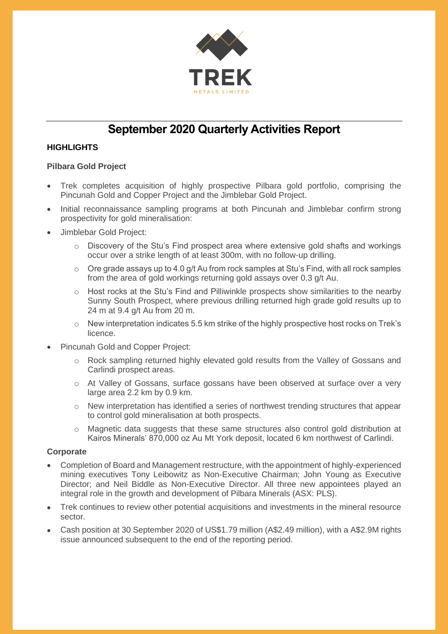

# **September 2020 Quarterly Activities Report**

## **HIGHLIGHTS**

#### **Pilbara Gold Project**

- Trek completes acquisition of highly prospective Pilbara gold portfolio, comprising the Pincunah Gold and Copper Project and the Jimblebar Gold Project.
- Initial reconnaissance sampling programs at both Pincunah and Jimblebar confirm strong prospectivity for gold mineralisation:
- Jimblebar Gold Project:
	- $\circ$  Discovery of the Stu's Find prospect area where extensive gold shafts and workings occur over a strike length of at least 300m, with no follow-up drilling.
	- $\circ$  Ore grade assays up to 4.0 g/t Au from rock samples at Stu's Find, with all rock samples from the area of gold workings returning gold assays over 0.3 g/t Au.
	- $\circ$  Host rocks at the Stu's Find and Pilliwinkle prospects show similarities to the nearby Sunny South Prospect, where previous drilling returned high grade gold results up to 24 m at 9.4 g/t Au from 20 m.
	- $\circ$  New interpretation indicates 5.5 km strike of the highly prospective host rocks on Trek's licence.
- Pincunah Gold and Copper Project:
	- o Rock sampling returned highly elevated gold results from the Valley of Gossans and Carlindi prospect areas.
	- o At Valley of Gossans, surface gossans have been observed at surface over a very large area 2.2 km by 0.9 km.
	- $\circ$  New interpretation has identified a series of northwest trending structures that appear to control gold mineralisation at both prospects.
	- o Magnetic data suggests that these same structures also control gold distribution at Kairos Minerals' 870,000 oz Au Mt York deposit, located 6 km northwest of Carlindi.

#### **Corporate**

- Completion of Board and Management restructure, with the appointment of highly-experienced mining executives Tony Leibowitz as Non-Executive Chairman; John Young as Executive Director; and Neil Biddle as Non-Executive Director. All three new appointees played an integral role in the growth and development of Pilbara Minerals (ASX: PLS).
- Trek continues to review other potential acquisitions and investments in the mineral resource sector.
- Cash position at 30 September 2020 of US\$1.79 million (A\$2.49 million), with a A\$2.9M rights issue announced subsequent to the end of the reporting period.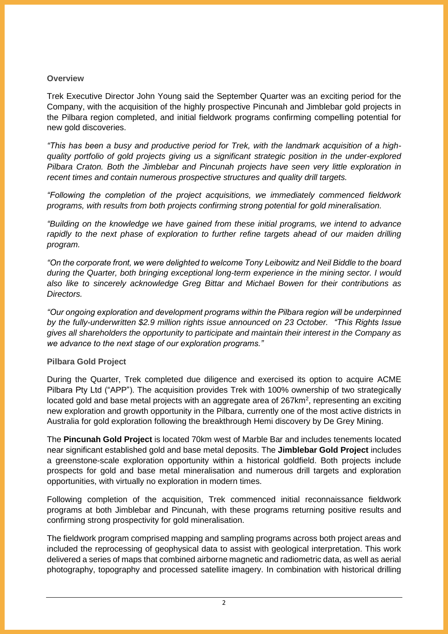#### **Overview**

Trek Executive Director John Young said the September Quarter was an exciting period for the Company, with the acquisition of the highly prospective Pincunah and Jimblebar gold projects in the Pilbara region completed, and initial fieldwork programs confirming compelling potential for new gold discoveries.

*"This has been a busy and productive period for Trek, with the landmark acquisition of a highquality portfolio of gold projects giving us a significant strategic position in the under-explored Pilbara Craton. Both the Jimblebar and Pincunah projects have seen very little exploration in recent times and contain numerous prospective structures and quality drill targets.*

*"Following the completion of the project acquisitions, we immediately commenced fieldwork programs, with results from both projects confirming strong potential for gold mineralisation.*

*"Building on the knowledge we have gained from these initial programs, we intend to advance rapidly to the next phase of exploration to further refine targets ahead of our maiden drilling program.*

*"On the corporate front, we were delighted to welcome Tony Leibowitz and Neil Biddle to the board during the Quarter, both bringing exceptional long-term experience in the mining sector. I would also like to sincerely acknowledge Greg Bittar and Michael Bowen for their contributions as Directors.*

*"Our ongoing exploration and development programs within the Pilbara region will be underpinned by the fully-underwritten \$2.9 million rights issue announced on 23 October. "This Rights Issue gives all shareholders the opportunity to participate and maintain their interest in the Company as we advance to the next stage of our exploration programs."*

## **Pilbara Gold Project**

During the Quarter, Trek completed due diligence and exercised its option to acquire ACME Pilbara Pty Ltd ("APP"). The acquisition provides Trek with 100% ownership of two strategically located gold and base metal projects with an aggregate area of 267 $km^2$ , representing an exciting new exploration and growth opportunity in the Pilbara, currently one of the most active districts in Australia for gold exploration following the breakthrough Hemi discovery by De Grey Mining.

The **Pincunah Gold Project** is located 70km west of Marble Bar and includes tenements located near significant established gold and base metal deposits. The **Jimblebar Gold Project** includes a greenstone-scale exploration opportunity within a historical goldfield. Both projects include prospects for gold and base metal mineralisation and numerous drill targets and exploration opportunities, with virtually no exploration in modern times.

Following completion of the acquisition, Trek commenced initial reconnaissance fieldwork programs at both Jimblebar and Pincunah, with these programs returning positive results and confirming strong prospectivity for gold mineralisation.

The fieldwork program comprised mapping and sampling programs across both project areas and included the reprocessing of geophysical data to assist with geological interpretation. This work delivered a series of maps that combined airborne magnetic and radiometric data, as well as aerial photography, topography and processed satellite imagery. In combination with historical drilling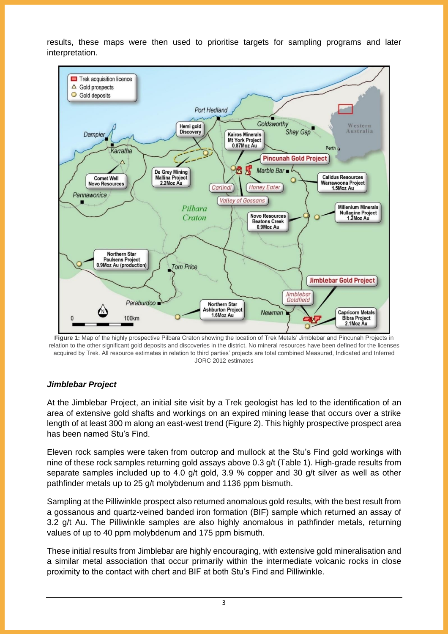results, these maps were then used to prioritise targets for sampling programs and later interpretation.



**Figure 1:** Map of the highly prospective Pilbara Craton showing the location of Trek Metals' Jimblebar and Pincunah Projects in relation to the other significant gold deposits and discoveries in the district. No mineral resources have been defined for the licenses acquired by Trek. All resource estimates in relation to third parties' projects are total combined Measured, Indicated and Inferred JORC 2012 estimates

## *Jimblebar Project*

At the Jimblebar Project, an initial site visit by a Trek geologist has led to the identification of an area of extensive gold shafts and workings on an expired mining lease that occurs over a strike length of at least 300 m along an east-west trend (Figure 2). This highly prospective prospect area has been named Stu's Find.

Eleven rock samples were taken from outcrop and mullock at the Stu's Find gold workings with nine of these rock samples returning gold assays above 0.3 g/t (Table 1). High-grade results from separate samples included up to 4.0 g/t gold, 3.9 % copper and 30 g/t silver as well as other pathfinder metals up to 25 g/t molybdenum and 1136 ppm bismuth.

Sampling at the Pilliwinkle prospect also returned anomalous gold results, with the best result from a gossanous and quartz-veined banded iron formation (BIF) sample which returned an assay of 3.2 g/t Au. The Pilliwinkle samples are also highly anomalous in pathfinder metals, returning values of up to 40 ppm molybdenum and 175 ppm bismuth.

These initial results from Jimblebar are highly encouraging, with extensive gold mineralisation and a similar metal association that occur primarily within the intermediate volcanic rocks in close proximity to the contact with chert and BIF at both Stu's Find and Pilliwinkle.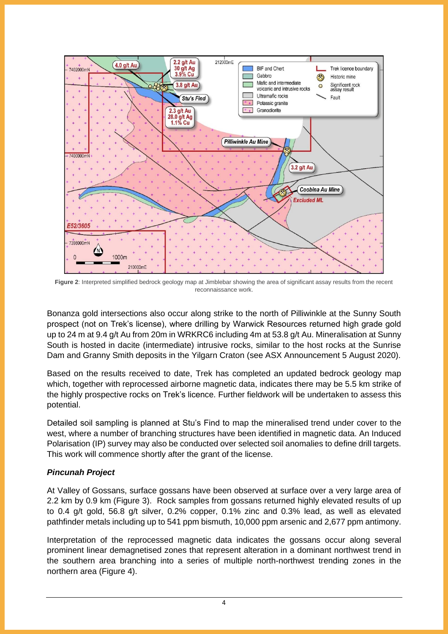

**Figure 2**: Interpreted simplified bedrock geology map at Jimblebar showing the area of significant assay results from the recent reconnaissance work.

Bonanza gold intersections also occur along strike to the north of Pilliwinkle at the Sunny South prospect (not on Trek's license), where drilling by Warwick Resources returned high grade gold up to 24 m at 9.4 g/t Au from 20m in WRKRC6 including 4m at 53.8 g/t Au. Mineralisation at Sunny South is hosted in dacite (intermediate) intrusive rocks, similar to the host rocks at the Sunrise Dam and Granny Smith deposits in the Yilgarn Craton (see ASX Announcement 5 August 2020).

Based on the results received to date, Trek has completed an updated bedrock geology map which, together with reprocessed airborne magnetic data, indicates there may be 5.5 km strike of the highly prospective rocks on Trek's licence. Further fieldwork will be undertaken to assess this potential.

Detailed soil sampling is planned at Stu's Find to map the mineralised trend under cover to the west, where a number of branching structures have been identified in magnetic data. An Induced Polarisation (IP) survey may also be conducted over selected soil anomalies to define drill targets. This work will commence shortly after the grant of the license.

## *Pincunah Project*

At Valley of Gossans, surface gossans have been observed at surface over a very large area of 2.2 km by 0.9 km (Figure 3). Rock samples from gossans returned highly elevated results of up to 0.4 g/t gold, 56.8 g/t silver, 0.2% copper, 0.1% zinc and 0.3% lead, as well as elevated pathfinder metals including up to 541 ppm bismuth, 10,000 ppm arsenic and 2,677 ppm antimony.

Interpretation of the reprocessed magnetic data indicates the gossans occur along several prominent linear demagnetised zones that represent alteration in a dominant northwest trend in the southern area branching into a series of multiple north-northwest trending zones in the northern area (Figure 4).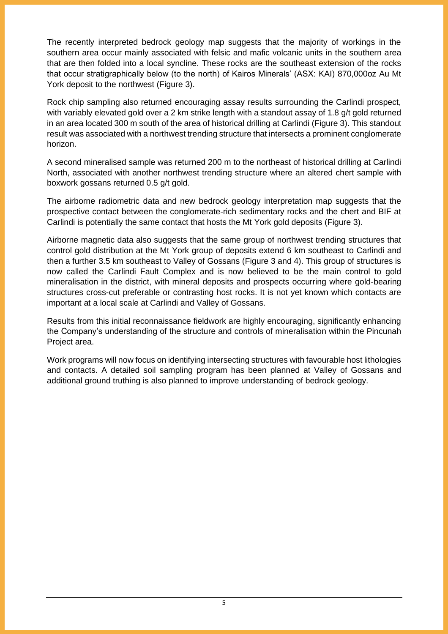The recently interpreted bedrock geology map suggests that the majority of workings in the southern area occur mainly associated with felsic and mafic volcanic units in the southern area that are then folded into a local syncline. These rocks are the southeast extension of the rocks that occur stratigraphically below (to the north) of Kairos Minerals' (ASX: KAI) 870,000oz Au Mt York deposit to the northwest (Figure 3).

Rock chip sampling also returned encouraging assay results surrounding the Carlindi prospect, with variably elevated gold over a 2 km strike length with a standout assay of 1.8 g/t gold returned in an area located 300 m south of the area of historical drilling at Carlindi (Figure 3). This standout result was associated with a northwest trending structure that intersects a prominent conglomerate horizon.

A second mineralised sample was returned 200 m to the northeast of historical drilling at Carlindi North, associated with another northwest trending structure where an altered chert sample with boxwork gossans returned 0.5 g/t gold.

The airborne radiometric data and new bedrock geology interpretation map suggests that the prospective contact between the conglomerate-rich sedimentary rocks and the chert and BIF at Carlindi is potentially the same contact that hosts the Mt York gold deposits (Figure 3).

Airborne magnetic data also suggests that the same group of northwest trending structures that control gold distribution at the Mt York group of deposits extend 6 km southeast to Carlindi and then a further 3.5 km southeast to Valley of Gossans (Figure 3 and 4). This group of structures is now called the Carlindi Fault Complex and is now believed to be the main control to gold mineralisation in the district, with mineral deposits and prospects occurring where gold-bearing structures cross-cut preferable or contrasting host rocks. It is not yet known which contacts are important at a local scale at Carlindi and Valley of Gossans.

Results from this initial reconnaissance fieldwork are highly encouraging, significantly enhancing the Company's understanding of the structure and controls of mineralisation within the Pincunah Project area.

Work programs will now focus on identifying intersecting structures with favourable host lithologies and contacts. A detailed soil sampling program has been planned at Valley of Gossans and additional ground truthing is also planned to improve understanding of bedrock geology.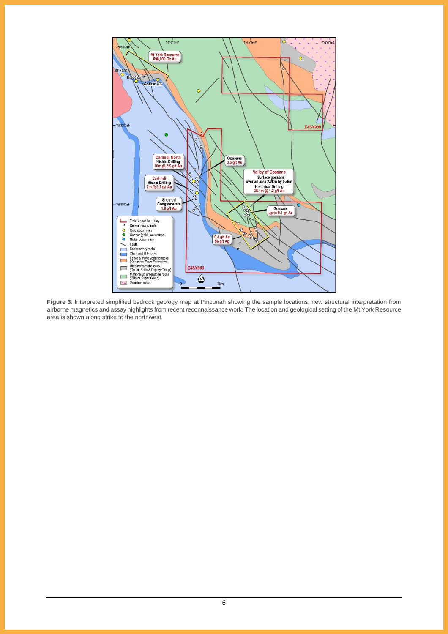

**Figure 3**: Interpreted simplified bedrock geology map at Pincunah showing the sample locations, new structural interpretation from airborne magnetics and assay highlights from recent reconnaissance work. The location and geological setting of the Mt York Resource area is shown along strike to the northwest.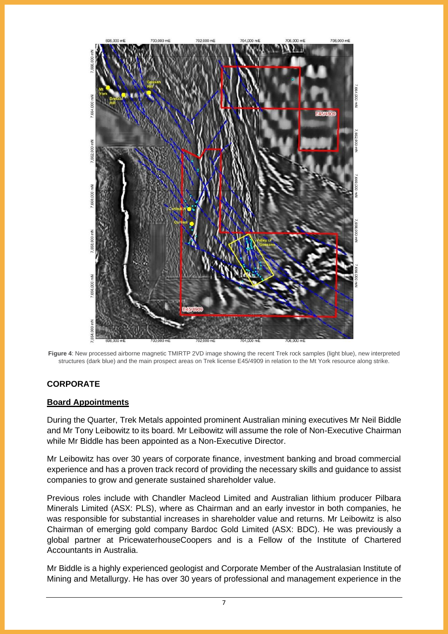

**Figure 4**: New processed airborne magnetic TMIRTP 2VD image showing the recent Trek rock samples (light blue), new interpreted structures (dark blue) and the main prospect areas on Trek license E45/4909 in relation to the Mt York resource along strike.

## **CORPORATE**

#### **Board Appointments**

During the Quarter, Trek Metals appointed prominent Australian mining executives Mr Neil Biddle and Mr Tony Leibowitz to its board. Mr Leibowitz will assume the role of Non-Executive Chairman while Mr Biddle has been appointed as a Non-Executive Director.

Mr Leibowitz has over 30 years of corporate finance, investment banking and broad commercial experience and has a proven track record of providing the necessary skills and guidance to assist companies to grow and generate sustained shareholder value.

Previous roles include with Chandler Macleod Limited and Australian lithium producer Pilbara Minerals Limited (ASX: PLS), where as Chairman and an early investor in both companies, he was responsible for substantial increases in shareholder value and returns. Mr Leibowitz is also Chairman of emerging gold company Bardoc Gold Limited (ASX: BDC). He was previously a global partner at PricewaterhouseCoopers and is a Fellow of the Institute of Chartered Accountants in Australia.

Mr Biddle is a highly experienced geologist and Corporate Member of the Australasian Institute of Mining and Metallurgy. He has over 30 years of professional and management experience in the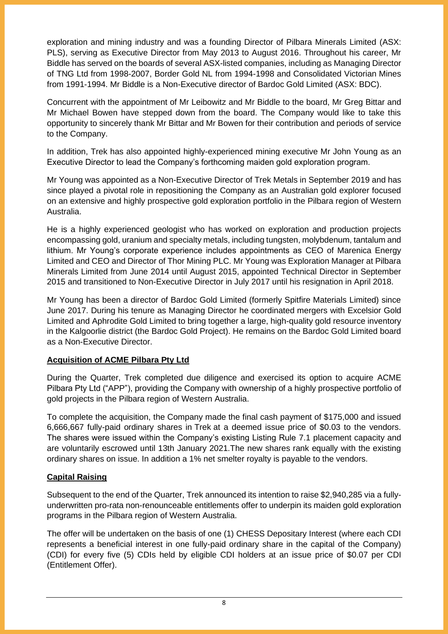exploration and mining industry and was a founding Director of Pilbara Minerals Limited (ASX: PLS), serving as Executive Director from May 2013 to August 2016. Throughout his career, Mr Biddle has served on the boards of several ASX-listed companies, including as Managing Director of TNG Ltd from 1998-2007, Border Gold NL from 1994-1998 and Consolidated Victorian Mines from 1991-1994. Mr Biddle is a Non-Executive director of Bardoc Gold Limited (ASX: BDC).

Concurrent with the appointment of Mr Leibowitz and Mr Biddle to the board, Mr Greg Bittar and Mr Michael Bowen have stepped down from the board. The Company would like to take this opportunity to sincerely thank Mr Bittar and Mr Bowen for their contribution and periods of service to the Company.

In addition, Trek has also appointed highly-experienced mining executive Mr John Young as an Executive Director to lead the Company's forthcoming maiden gold exploration program.

Mr Young was appointed as a Non-Executive Director of Trek Metals in September 2019 and has since played a pivotal role in repositioning the Company as an Australian gold explorer focused on an extensive and highly prospective gold exploration portfolio in the Pilbara region of Western Australia.

He is a highly experienced geologist who has worked on exploration and production projects encompassing gold, uranium and specialty metals, including tungsten, molybdenum, tantalum and lithium. Mr Young's corporate experience includes appointments as CEO of Marenica Energy Limited and CEO and Director of Thor Mining PLC. Mr Young was Exploration Manager at Pilbara Minerals Limited from June 2014 until August 2015, appointed Technical Director in September 2015 and transitioned to Non-Executive Director in July 2017 until his resignation in April 2018.

Mr Young has been a director of Bardoc Gold Limited (formerly Spitfire Materials Limited) since June 2017. During his tenure as Managing Director he coordinated mergers with Excelsior Gold Limited and Aphrodite Gold Limited to bring together a large, high-quality gold resource inventory in the Kalgoorlie district (the Bardoc Gold Project). He remains on the Bardoc Gold Limited board as a Non-Executive Director.

## **Acquisition of ACME Pilbara Pty Ltd**

During the Quarter, Trek completed due diligence and exercised its option to acquire ACME Pilbara Pty Ltd ("APP"), providing the Company with ownership of a highly prospective portfolio of gold projects in the Pilbara region of Western Australia.

To complete the acquisition, the Company made the final cash payment of \$175,000 and issued 6,666,667 fully-paid ordinary shares in Trek at a deemed issue price of \$0.03 to the vendors. The shares were issued within the Company's existing Listing Rule 7.1 placement capacity and are voluntarily escrowed until 13th January 2021.The new shares rank equally with the existing ordinary shares on issue. In addition a 1% net smelter royalty is payable to the vendors.

## **Capital Raising**

Subsequent to the end of the Quarter, Trek announced its intention to raise \$2,940,285 via a fullyunderwritten pro-rata non-renounceable entitlements offer to underpin its maiden gold exploration programs in the Pilbara region of Western Australia.

The offer will be undertaken on the basis of one (1) CHESS Depositary Interest (where each CDI represents a beneficial interest in one fully-paid ordinary share in the capital of the Company) (CDI) for every five (5) CDIs held by eligible CDI holders at an issue price of \$0.07 per CDI (Entitlement Offer).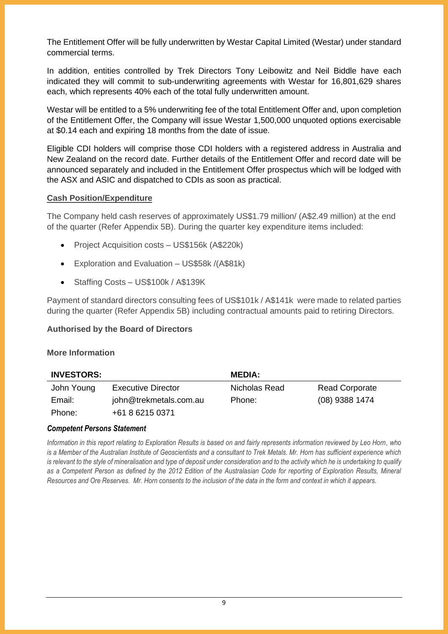The Entitlement Offer will be fully underwritten by Westar Capital Limited (Westar) under standard commercial terms.

In addition, entities controlled by Trek Directors Tony Leibowitz and Neil Biddle have each indicated they will commit to sub-underwriting agreements with Westar for 16,801,629 shares each, which represents 40% each of the total fully underwritten amount.

Westar will be entitled to a 5% underwriting fee of the total Entitlement Offer and, upon completion of the Entitlement Offer, the Company will issue Westar 1,500,000 unquoted options exercisable at \$0.14 each and expiring 18 months from the date of issue.

Eligible CDI holders will comprise those CDI holders with a registered address in Australia and New Zealand on the record date. Further details of the Entitlement Offer and record date will be announced separately and included in the Entitlement Offer prospectus which will be lodged with the ASX and ASIC and dispatched to CDIs as soon as practical.

#### **Cash Position/Expenditure**

The Company held cash reserves of approximately US\$1.79 million/ (A\$2.49 million) at the end of the quarter (Refer Appendix 5B). During the quarter key expenditure items included:

- Project Acquisition costs US\$156k (A\$220k)
- Exploration and Evaluation US\$58k /(A\$81k)
- Staffing Costs US\$100k / A\$139K

Payment of standard directors consulting fees of US\$101k / A\$141k were made to related parties during the quarter (Refer Appendix 5B) including contractual amounts paid to retiring Directors.

## **Authorised by the Board of Directors**

## **More Information**

| <b>INVESTORS:</b> |                           | <b>MEDIA:</b> |                       |
|-------------------|---------------------------|---------------|-----------------------|
| John Young        | <b>Executive Director</b> | Nicholas Read | <b>Read Corporate</b> |
| Email:            | john@trekmetals.com.au    | Phone:        | $(08)$ 9388 1474      |
| Phone:            | +61 8 6215 0371           |               |                       |

#### *Competent Persons Statement*

*Information in this report relating to Exploration Results is based on and fairly represents information reviewed by Leo Horn, who is a Member of the Australian Institute of Geoscientists and a consultant to Trek Metals. Mr. Horn has sufficient experience which is relevant to the style of mineralisation and type of deposit under consideration and to the activity which he is undertaking to qualify as a Competent Person as defined by the 2012 Edition of the Australasian Code for reporting of Exploration Results, Mineral Resources and Ore Reserves. Mr. Horn consents to the inclusion of the data in the form and context in which it appears.*